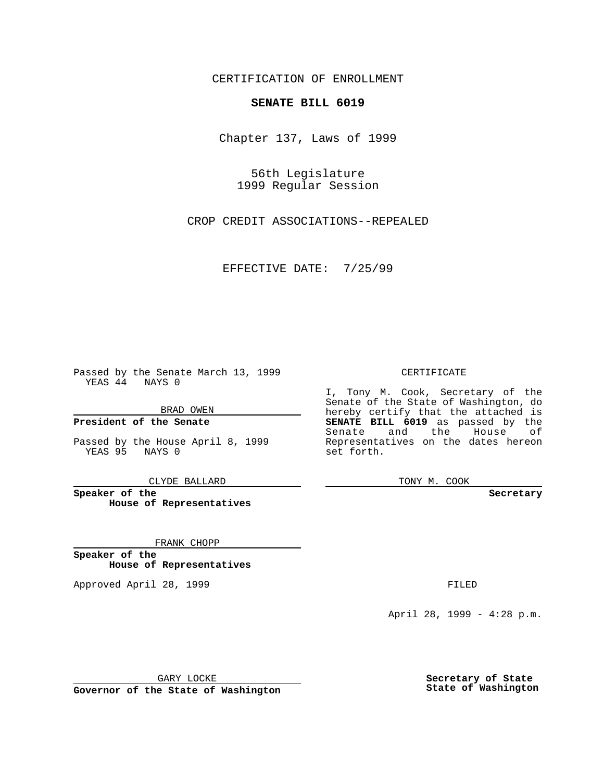CERTIFICATION OF ENROLLMENT

## **SENATE BILL 6019**

Chapter 137, Laws of 1999

56th Legislature 1999 Regular Session

CROP CREDIT ASSOCIATIONS--REPEALED

EFFECTIVE DATE: 7/25/99

Passed by the Senate March 13, 1999 YEAS 44 NAYS 0

BRAD OWEN

**President of the Senate**

Passed by the House April 8, 1999 YEAS 95 NAYS 0

CLYDE BALLARD

**Speaker of the House of Representatives**

FRANK CHOPP

**Speaker of the House of Representatives**

Approved April 28, 1999 **FILED** 

### CERTIFICATE

I, Tony M. Cook, Secretary of the Senate of the State of Washington, do hereby certify that the attached is **SENATE BILL 6019** as passed by the Senate and the House of Representatives on the dates hereon set forth.

TONY M. COOK

#### **Secretary**

April 28, 1999 - 4:28 p.m.

GARY LOCKE

**Governor of the State of Washington**

**Secretary of State State of Washington**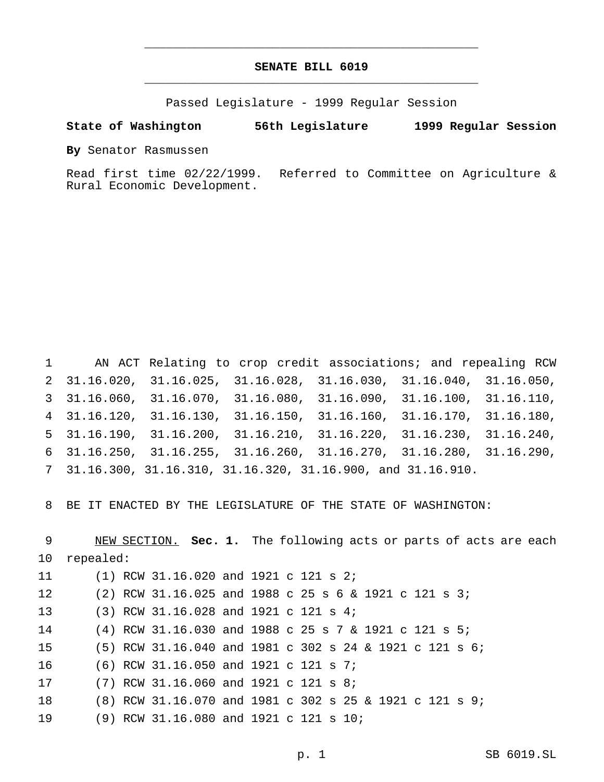# **SENATE BILL 6019** \_\_\_\_\_\_\_\_\_\_\_\_\_\_\_\_\_\_\_\_\_\_\_\_\_\_\_\_\_\_\_\_\_\_\_\_\_\_\_\_\_\_\_\_\_\_\_

\_\_\_\_\_\_\_\_\_\_\_\_\_\_\_\_\_\_\_\_\_\_\_\_\_\_\_\_\_\_\_\_\_\_\_\_\_\_\_\_\_\_\_\_\_\_\_

Passed Legislature - 1999 Regular Session

## **State of Washington 56th Legislature 1999 Regular Session**

**By** Senator Rasmussen

Read first time 02/22/1999. Referred to Committee on Agriculture & Rural Economic Development.

 AN ACT Relating to crop credit associations; and repealing RCW 31.16.020, 31.16.025, 31.16.028, 31.16.030, 31.16.040, 31.16.050, 31.16.060, 31.16.070, 31.16.080, 31.16.090, 31.16.100, 31.16.110, 31.16.120, 31.16.130, 31.16.150, 31.16.160, 31.16.170, 31.16.180, 31.16.190, 31.16.200, 31.16.210, 31.16.220, 31.16.230, 31.16.240, 31.16.250, 31.16.255, 31.16.260, 31.16.270, 31.16.280, 31.16.290, 31.16.300, 31.16.310, 31.16.320, 31.16.900, and 31.16.910.

BE IT ENACTED BY THE LEGISLATURE OF THE STATE OF WASHINGTON:

 NEW SECTION. **Sec. 1.** The following acts or parts of acts are each repealed: (1) RCW 31.16.020 and 1921 c 121 s 2; (2) RCW 31.16.025 and 1988 c 25s6& 1921 c 121 s 3; (3) RCW 31.16.028 and 1921 c 121 s 4; (4) RCW 31.16.030 and 1988 c 25s7& 1921 c 121 s 5; (5) RCW 31.16.040 and 1981 c 302 s 24 & 1921 c 121 s 6; (6) RCW 31.16.050 and 1921 c 121 s 7; (7) RCW 31.16.060 and 1921 c 121 s 8; (8) RCW 31.16.070 and 1981 c 302 s 25 & 1921 c 121 s 9; (9) RCW 31.16.080 and 1921 c 121 s 10;